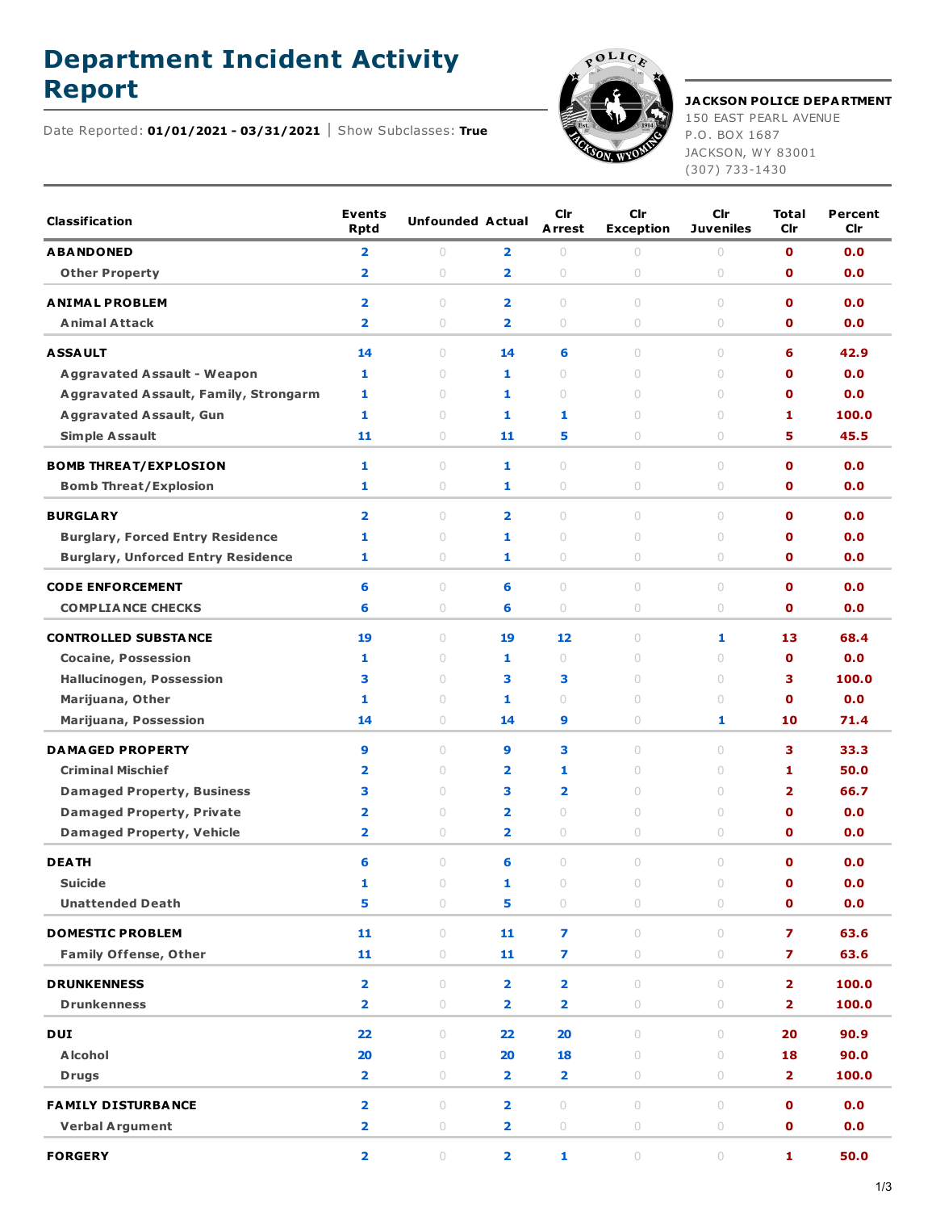## **Department Incident Activity**





## **Report JACKSON POLICE DEPARTMENT** 150 EAST PEARL AVENUE

P.O. BOX 1687 JACKSON, WY 83001 (307) 733-1430

| <b>Classification</b>                        | <b>Events</b><br><b>Rptd</b> | <b>Unfounded Actual</b> |                         | Cir<br>Arrest                    | Cir<br><b>Exception</b>          | Cir<br><b>Juveniles</b>          | <b>Total</b><br>Cir     | Percent<br>Cir |
|----------------------------------------------|------------------------------|-------------------------|-------------------------|----------------------------------|----------------------------------|----------------------------------|-------------------------|----------------|
| <b>ABANDONED</b>                             | 2                            | $\circ$                 | $\overline{\mathbf{2}}$ | $\bigcirc$                       | $\circ$                          | $\circ$                          | $\mathbf{0}$            | 0.0            |
| <b>Other Property</b>                        | $\overline{2}$               | $\cup$                  | $\overline{\mathbf{2}}$ | $\circ$                          | $\circ$                          | $\circ$                          | $\mathbf 0$             | 0.0            |
| <b>ANIMAL PROBLEM</b>                        | $\overline{\mathbf{2}}$      | $\cup$                  | $\overline{2}$          | $\circ$                          | $\circ$                          | $\circ$                          | $\mathbf{o}$            | 0.0            |
| <b>Animal Attack</b>                         | $\overline{\mathbf{2}}$      | $\circ$                 | 2                       | $\circ$                          | $\circ$                          | 0                                | O                       | 0.0            |
| <b>ASSAULT</b>                               | 14                           | $\cup$                  | 14                      | 6                                | $\circ$                          | $\cup$                           | 6                       | 42.9           |
| <b>Aggravated Assault - Weapon</b>           | 1                            | $\cup$                  | 1                       | $\bigcirc$                       | $\cup$                           | $\cup$                           | $\mathbf{o}$            | 0.0            |
| <b>Aggravated Assault, Family, Strongarm</b> | 1                            | $\cup$                  | 1                       | $\bigcirc$                       | $\circ$                          | $\cup$                           | $\mathbf 0$             | 0.0            |
| <b>Aggravated Assault, Gun</b>               | 1                            | $\cup$                  | 1                       | 1                                | $\cup$                           | $\begin{array}{c} \n\end{array}$ | 1                       | 100.0          |
| <b>Simple Assault</b>                        | 11                           | 0                       | 11                      | 5                                | 0                                | $\circ$                          | 5                       | 45.5           |
| <b>BOMB THREAT/EXPLOSION</b>                 | 1                            | $\cup$                  | 1                       | $\bigcirc$                       | $\begin{array}{c} \n\end{array}$ | $\cup$                           | $\mathbf{o}$            | 0.0            |
| <b>Bomb Threat/Explosion</b>                 | 1                            | $\circ$                 | 1                       | $\circ$                          | $\circ$                          | $\circ$                          | $\mathbf 0$             | 0.0            |
|                                              |                              |                         |                         |                                  |                                  |                                  |                         |                |
| <b>BURGLARY</b>                              | $\overline{2}$               | $\cup$                  | $\overline{2}$          | $\bigcirc$                       | $\cup$                           | $\cup$                           | $\Omega$                | 0.0            |
| <b>Burglary, Forced Entry Residence</b>      | 1                            | $\cup$                  | 1                       | $\bigcirc$                       | $\circ$                          | $\circ$                          | $\mathbf 0$             | 0.0            |
| <b>Burglary, Unforced Entry Residence</b>    | 1                            | $\circ$                 | 1                       | $\circ$                          | $\circ$                          | $\circ$                          | $\mathbf 0$             | 0.0            |
| <b>CODE ENFORCEMENT</b>                      | 6                            | $\circ$                 | 6                       | $\cup$                           | $\circ$                          | $\circ$                          | $\mathbf{o}$            | 0.0            |
| <b>COMPLIANCE CHECKS</b>                     | 6                            | $\circ$                 | 6                       | $\circ$                          | $\bigcirc$                       | 0                                | O                       | 0.0            |
| <b>CONTROLLED SUBSTANCE</b>                  | 19                           | $\cup$                  | 19                      | 12                               | $\cup$                           | 1                                | 13                      | 68.4           |
| <b>Cocaine, Possession</b>                   | 1                            | $\cup$                  | 1                       | $\begin{array}{c} \n\end{array}$ | $\circ$                          | $\cup$                           | $\mathbf{o}$            | 0.0            |
| <b>Hallucinogen, Possession</b>              | 3                            | $\circ$                 | 3                       | 3                                | $\circ$                          | $\circ$                          | 3                       | 100.0          |
| Marijuana, Other                             | 1                            | $\cup$                  | 1                       | $\begin{array}{c} \n\end{array}$ | $\circ$                          | $\cup$                           | $\mathbf 0$             | 0.0            |
| Marijuana, Possession                        | 14                           | 0                       | 14                      | 9                                | $\circ$                          | 1                                | 10                      | 71.4           |
| <b>DAMAGED PROPERTY</b>                      | 9                            | $\cup$                  | 9                       | 3                                | $\cup$                           | $\cup$                           | 3                       | 33.3           |
| <b>Criminal Mischief</b>                     | 2                            | $\circ$                 | $\overline{\mathbf{2}}$ | 1                                | $\circ$                          | $\circ$                          | 1                       | 50.0           |
| <b>Damaged Property, Business</b>            | 3                            | $\cup$                  | 3                       | $\overline{\mathbf{2}}$          | $\circ$                          | $\begin{array}{c} \n\end{array}$ | $\overline{2}$          | 66.7           |
| <b>Damaged Property, Private</b>             | 2                            | $\circ$                 | $\overline{\mathbf{2}}$ | $\bigcirc$                       | $\circ$                          | $\circ$                          | $\mathbf 0$             | 0.0            |
| <b>Damaged Property, Vehicle</b>             | $\overline{2}$               | $\circ$                 | $\overline{\mathbf{2}}$ | $\begin{array}{c} \n\end{array}$ | $\circ$                          | $\circ$                          | $\mathbf 0$             | 0.0            |
| <b>DEATH</b>                                 | 6                            | $\cup$                  | 6                       | $\bigcirc$                       | $\circ$                          | $\bigcirc$                       | $\mathbf{0}$            | 0.0            |
| <b>Suicide</b>                               | 1                            | $\circ$                 | 1                       | $\bigcirc$                       | $\circ$                          | $\cup$                           | $\mathbf 0$             | 0.0            |
| <b>Unattended Death</b>                      | 5                            | $\circ$                 | 5                       | $\circ$                          | $\circ$                          | $\circ$                          | $\mathbf 0$             | 0.0            |
| <b>DOMESTIC PROBLEM</b>                      | 11                           | $\circ$                 | 11                      | $\overline{ }$                   | $\circ$                          | $\bigcirc$                       | $\overline{z}$          | 63.6           |
| <b>Family Offense, Other</b>                 | 11                           | $\bigcirc$              | 11                      | 7                                | $\bigcirc$                       | $\circ$                          | $\overline{ }$          | 63.6           |
| <b>DRUNKENNESS</b>                           | $\overline{\mathbf{2}}$      | $\circ$                 | $\overline{\mathbf{2}}$ | $\overline{\mathbf{2}}$          | $\circ$                          | $\circ$                          | $\overline{\mathbf{2}}$ | 100.0          |
| <b>Drunkenness</b>                           | $\overline{\mathbf{2}}$      | $\circlearrowright$     | 2                       | 2                                | $\bigcirc$                       | $\bigcirc$                       | $\overline{2}$          | 100.0          |
|                                              |                              |                         |                         |                                  |                                  |                                  |                         |                |
| <b>DUI</b>                                   | 22                           | $\circ$                 | 22                      | 20                               | $\circ$                          | $\begin{array}{c} \n\end{array}$ | 20                      | 90.9           |
| <b>Alcohol</b>                               | 20                           | $\circ$                 | 20                      | 18                               | $\bigcirc$                       | $\circ$                          | 18                      | 90.0           |
| <b>Drugs</b>                                 | $\overline{\mathbf{2}}$      | $\circlearrowright$     | 2                       | 2                                | $\bigcirc$                       | 0                                | 2                       | 100.0          |
| <b>FAMILY DISTURBANCE</b>                    | $\overline{\mathbf{2}}$      | $\circ$                 | $\overline{\mathbf{2}}$ | $\circ$                          | $\circ$                          | $\circ$                          | $\mathbf 0$             | 0.0            |
| <b>Verbal Argument</b>                       | $\overline{\mathbf{2}}$      | $\circ$                 | $\overline{\mathbf{2}}$ | $\bigcirc$                       | $\bigcirc$                       | $\circ$                          | $\mathbf 0$             | 0.0            |
| <b>FORGERY</b>                               | $\overline{\mathbf{2}}$      | $\bigcirc$              | 2                       | $\mathbf{1}$                     | $\bigcirc$                       | $\bigcirc$                       | 1                       | 50.0           |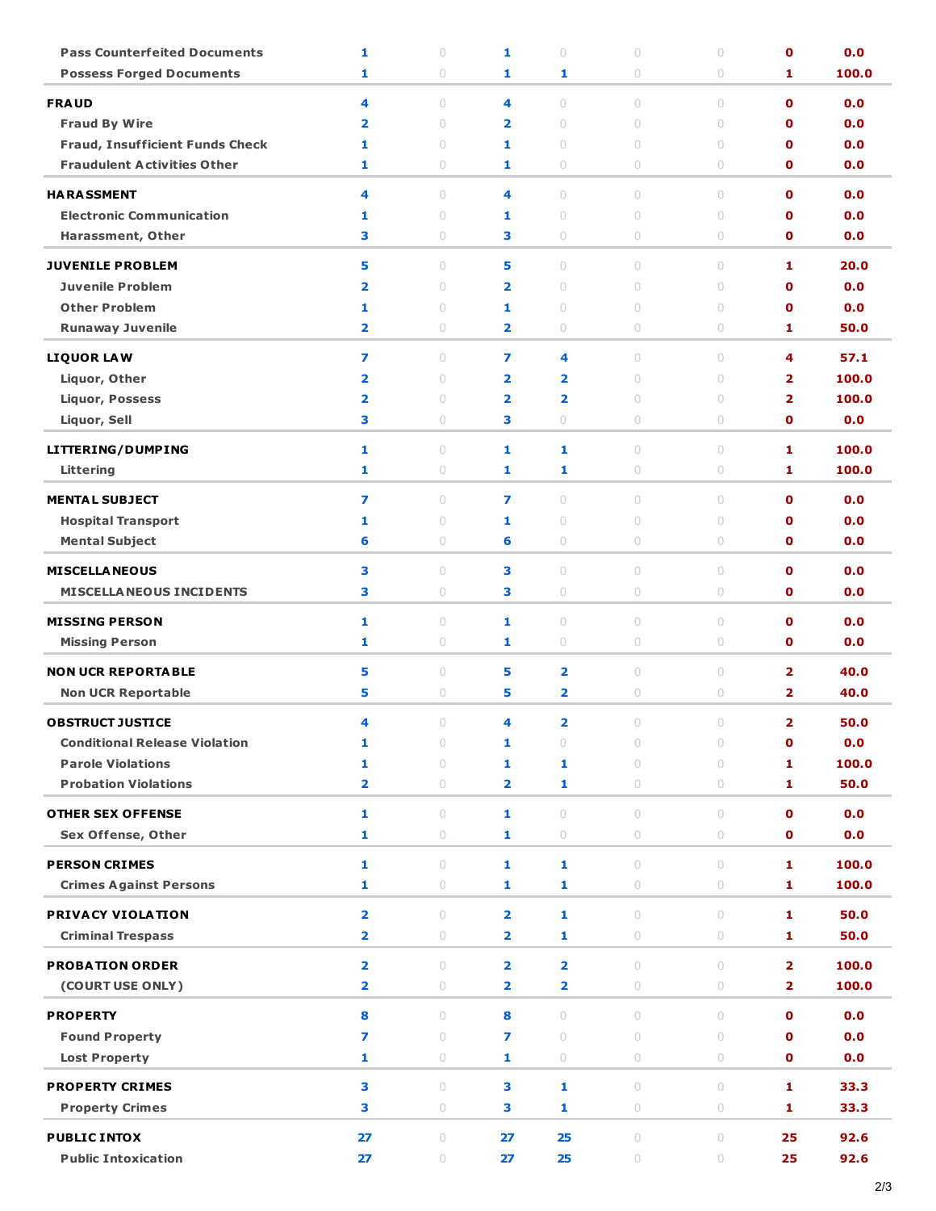| <b>Pass Counterfeited Documents</b>    | 1                       | $\circ$      | 1                       | $\circ$                 | $\circ$             | $\circ$                          | $\mathbf o$                | 0.0        |
|----------------------------------------|-------------------------|--------------|-------------------------|-------------------------|---------------------|----------------------------------|----------------------------|------------|
| <b>Possess Forged Documents</b>        | 1                       | 0            | 1                       | 1                       | 0                   | $\circ$                          | 1                          | 100.0      |
| <b>FRAUD</b>                           | 4                       | $\cup$       | 4                       | $\circ$                 | $\circ$             | $\cup$                           | $\mathbf 0$                | 0.0        |
| <b>Fraud By Wire</b>                   | $\overline{\mathbf{2}}$ | $\circ$      | $\overline{\mathbf{2}}$ | $\circ$                 | $\circ$             | $\circ$                          | $\mathbf 0$                | 0.0        |
| <b>Fraud, Insufficient Funds Check</b> | 1                       | 0            | 1                       | $\circ$                 | $\circ$             | $\circ$                          | $\mathbf 0$                | 0.0        |
| <b>Fraudulent Activities Other</b>     | 1                       | 0            | 1                       | $\circ$                 | 0                   | $\circ$                          | $\mathbf 0$                | 0.0        |
|                                        |                         |              |                         |                         |                     |                                  |                            |            |
| <b>HARASSMENT</b>                      | 4                       | $\cup$       | 4                       | $\circ$                 | $\circ$             | $\cup$                           | $\mathbf{0}$               | 0.0        |
| <b>Electronic Communication</b>        | 1<br>3                  | $\circ$<br>0 | 1<br>з                  | $\circ$<br>$\circ$      | $\circ$<br>0        | $\circ$<br>$\circ$               | $\mathbf 0$<br>$\mathbf 0$ | 0.0<br>0.0 |
| Harassment, Other                      |                         |              |                         |                         |                     |                                  |                            |            |
| <b>JUVENILE PROBLEM</b>                | 5                       | $\cup$       | 5                       | $\cup$                  | $\circ$             | $\circ$                          | 1                          | 20.0       |
| <b>Juvenile Problem</b>                | $\overline{\mathbf{2}}$ | $\cup$       | $\overline{\mathbf{2}}$ | $\circ$                 | $\circ$             | $\circ$                          | $\mathbf 0$                | 0.0        |
| <b>Other Problem</b>                   | 1                       | $\circ$      | 1                       | $\circ$                 | $\circ$             | $\circ$                          | $\mathbf o$                | 0.0        |
| <b>Runaway Juvenile</b>                | $\overline{\mathbf{2}}$ | 0            | $\overline{\mathbf{2}}$ | $\circ$                 | 0                   | $\circ$                          | 1                          | 50.0       |
| <b>LIQUOR LAW</b>                      | 7                       | $\cup$       | 7                       | 4                       | $\circ$             | $\circ$                          | 4                          | 57.1       |
| Liquor, Other                          | $\overline{\mathbf{2}}$ | 0            | $\overline{\mathbf{2}}$ | $\overline{\mathbf{2}}$ | $\circ$             | $\circ$                          | $\overline{\mathbf{2}}$    | 100.0      |
| <b>Liquor, Possess</b>                 | $\overline{\mathbf{2}}$ | $\circ$      | $\overline{\mathbf{2}}$ | $\overline{\mathbf{2}}$ | $\circ$             | $\circ$                          | $\overline{\mathbf{2}}$    | 100.0      |
| Liquor, Sell                           | 3                       | 0            | з                       | $\circ$                 | 0                   | $\circ$                          | $\mathbf 0$                | 0.0        |
| LITTERING/DUMPING                      | 1                       | $\cup$       | 1                       | 1                       | $\circ$             | $\circ$                          | 1                          | 100.0      |
| Littering                              | 1                       | 0            | 1                       | 1                       | 0                   | $\circ$                          | 1                          | 100.0      |
|                                        |                         |              |                         |                         |                     |                                  |                            |            |
| <b>MENTAL SUBJECT</b>                  | $\overline{ }$          | $\circ$      | 7                       | $\bigcirc$              | $\circ$             | $\circ$                          | $\mathbf 0$                | 0.0        |
| <b>Hospital Transport</b>              | 1                       | 0            | 1                       | $\circ$                 | $\circ$             | $\circ$                          | $\mathbf o$                | 0.0        |
| <b>Mental Subject</b>                  | 6                       | 0            | 6                       | $\circ$                 | 0                   | $\circ$                          | $\mathbf o$                | 0.0        |
| <b>MISCELLA NEOUS</b>                  | 3                       | 0            | 3                       | $\circ$                 | $\circ$             | $\circ$                          | $\mathbf 0$                | 0.0        |
| <b>MISCELLA NEOUS INCIDENTS</b>        | 3                       | $\circ$      | 3                       | $\bigcirc$              | $\bigcirc$          | $\bigcirc$                       | $\mathbf 0$                | 0.0        |
| <b>MISSING PERSON</b>                  | 1                       | 0            | 1                       | $\circ$                 | $\circ$             | $\circ$                          | $\mathbf 0$                | 0.0        |
| <b>Missing Person</b>                  | 1                       | 0            | 1                       | 0                       | 0                   | $\circ$                          | $\mathbf 0$                | 0.0        |
|                                        |                         |              |                         |                         |                     |                                  |                            |            |
| <b>NON UCR REPORTABLE</b>              | 5                       | 0            | 5                       | $\overline{\mathbf{2}}$ | $\circ$             | $\circ$                          | $\overline{\mathbf{2}}$    | 40.0       |
| <b>Non UCR Reportable</b>              | 5                       | $\circ$      | 5                       | $\overline{\mathbf{2}}$ | $\bigcirc$          | $\circ$                          | $\overline{\mathbf{2}}$    | 40.0       |
| <b>OBSTRUCT JUSTICE</b>                | 4                       | 0            | 4                       | $\overline{\mathbf{2}}$ | 0                   | $\circ$                          | $\overline{\mathbf{2}}$    | 50.0       |
| <b>Conditional Release Violation</b>   | 1                       | $\circ$      | 1                       | $\circ$                 | $\circ$             | $\circ$                          | $\mathbf o$                | 0.0        |
| <b>Parole Violations</b>               | 1                       | $\circ$      | $\mathbf{1}$            | 1                       | $\circ$             | $\circ$                          | 1                          | 100.0      |
| <b>Probation Violations</b>            | $\overline{\mathbf{2}}$ | $\bigcirc$   | $\overline{\mathbf{2}}$ | 1                       | $\circlearrowright$ | $\bigcirc$                       | 1                          | 50.0       |
| <b>OTHER SEX OFFENSE</b>               | 1                       | $\circ$      | 1                       | $\circ$                 | $\circ$             | $\circ$                          | $\mathbf{o}$               | 0.0        |
| <b>Sex Offense, Other</b>              | 1                       | $\circ$      | 1                       | $\bigcirc$              | $\bigcirc$          | $\circ$                          | $\mathbf 0$                | 0.0        |
| <b>PERSON CRIMES</b>                   | 1                       | $\circ$      | 1                       | 1                       | $\circ$             | $\begin{array}{c} \n\end{array}$ | 1                          | 100.0      |
| <b>Crimes Against Persons</b>          | 1                       | $\circ$      | $\mathbf{1}$            | 1                       | $\bigcirc$          | $\circ$                          | 1                          | 100.0      |
|                                        |                         |              |                         |                         |                     |                                  |                            |            |
| PRIVACY VIOLATION                      | $\overline{\mathbf{2}}$ | $\circ$      | $\overline{\mathbf{2}}$ | $\mathbf{1}$            | $\circ$             | $\circ$                          | 1                          | 50.0       |
| <b>Criminal Trespass</b>               | $\overline{\mathbf{2}}$ | $\bigcirc$   | $\overline{\mathbf{2}}$ | 1                       | $\circlearrowright$ | $\bigcirc$                       | 1                          | 50.0       |
| <b>PROBATION ORDER</b>                 | $\overline{\mathbf{2}}$ | $\circ$      | $\overline{\mathbf{2}}$ | $\overline{2}$          | $\circ$             | $\circ$                          | $\overline{\mathbf{2}}$    | 100.0      |
| (COURT USE ONLY)                       | $\overline{\mathbf{2}}$ | $\bigcirc$   | $\overline{\mathbf{2}}$ | $\overline{\mathbf{2}}$ | $\bigcirc$          | $\bigcirc$                       | $\overline{2}$             | 100.0      |
| <b>PROPERTY</b>                        | 8                       | $\circ$      | 8                       | $\circ$                 | $\circ$             | $\cup$                           | $\mathbf{0}$               | 0.0        |
| <b>Found Property</b>                  | 7                       | $\circ$      | $\overline{ }$          | $\circ$                 | $\circ$             | $\circ$                          | $\mathbf 0$                | 0.0        |
| <b>Lost Property</b>                   | 1                       | $\circ$      | 1                       | $\bigcirc$              | $\circlearrowright$ | $\circ$                          | $\mathbf 0$                | 0.0        |
|                                        |                         |              |                         |                         |                     |                                  |                            |            |
| <b>PROPERTY CRIMES</b>                 | 3                       | $\circ$      | 3                       | 1                       | $\circ$             | $\circ$                          | 1                          | 33.3       |
| <b>Property Crimes</b>                 | 3                       | $\circ$      | 3                       | 1                       | $\bigcirc$          | 0                                | 1                          | 33.3       |
| <b>PUBLIC INTOX</b>                    | 27                      | $\circ$      | 27                      | 25                      | $\bigcirc$          | $\circ$                          | 25                         | 92.6       |
| <b>Public Intoxication</b>             | 27                      | $\circ$      | 27                      | 25                      | $\bigcirc$          | $\bigcirc$                       | 25                         | 92.6       |